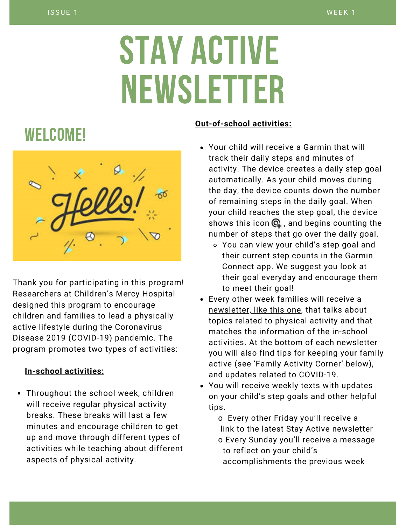# STAY ACTIVE NEWSLETTER

## WELCOME!



Thank you for participating in this program! Researchers at Children's Mercy Hospital designed this program to encourage children and families to lead a physically active lifestyle during the Coronavirus Disease 2019 (COVID-19) pandemic. The program promotes two types of activities:

#### **In-school activities:**

Throughout the school week, children will receive regular physical activity breaks. These breaks will last a few minutes and encourage children to get up and move through different types of activities while teaching about different aspects of physical activity.

#### **Out-of-school activities:**

- Your child will receive a Garmin that will track their daily steps and minutes of activity. The device creates a daily step goal automatically. As your child moves during the day, the device counts down the number of remaining steps in the daily goal. When your child reaches the step goal, the device shows this icon  $\mathbb Q$ , and begins counting the number of steps that go over the daily goal.
	- You can view your child's step goal and their current step counts in the Garmin Connect app. We suggest you look at their goal everyday and encourage them to meet their goal!
- Every other week families will receive a newsletter, like this one, that talks about topics related to physical activity and that matches the information of the in-school activities. At the bottom of each newsletter you will also find tips for keeping your family active (see 'Family Activity Corner' below), and updates related to COVID-19.
- You will receive weekly texts with updates on your child's step goals and other helpful tips.
	- o Every other Friday you'll receive a link to the latest Stay Active newsletter o Every Sunday you'll receive a message to reflect on your child's accomplishments the previous week